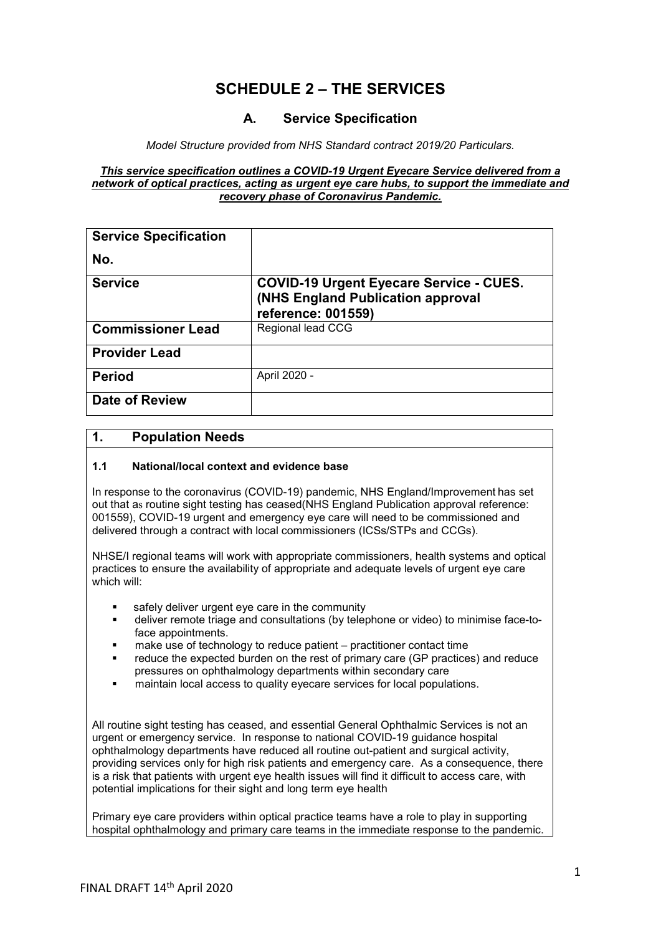# **SCHEDULE 2 – THE SERVICES**

# **A. Service Specification**

*Model Structure provided from NHS Standard contract 2019/20 Particulars.*

#### *This service specification outlines a COVID-19 Urgent Eyecare Service delivered from a network of optical practices, acting as urgent eye care hubs, to support the immediate and recovery phase of Coronavirus Pandemic.*

| <b>Service Specification</b> |                                                                                                                  |
|------------------------------|------------------------------------------------------------------------------------------------------------------|
| No.                          |                                                                                                                  |
| <b>Service</b>               | <b>COVID-19 Urgent Eyecare Service - CUES.</b><br><b>(NHS England Publication approval</b><br>reference: 001559) |
| <b>Commissioner Lead</b>     | Regional lead CCG                                                                                                |
| <b>Provider Lead</b>         |                                                                                                                  |
| <b>Period</b>                | April 2020 -                                                                                                     |
| <b>Date of Review</b>        |                                                                                                                  |

## **1. Population Needs**

#### **1.1 National/local context and evidence base**

In response to the coronavirus (COVID-19) pandemic, NHS England/Improvement has set out that as routine sight testing has ceased(NHS England Publication approval reference: 001559), COVID-19 urgent and emergency eye care will need to be commissioned and delivered through a contract with local commissioners (ICSs/STPs and CCGs).

NHSE/I regional teams will work with appropriate commissioners, health systems and optical practices to ensure the availability of appropriate and adequate levels of urgent eye care which will:

- safely deliver urgent eye care in the community
- deliver remote triage and consultations (by telephone or video) to minimise face-toface appointments.
- make use of technology to reduce patient practitioner contact time
- reduce the expected burden on the rest of primary care (GP practices) and reduce pressures on ophthalmology departments within secondary care
- maintain local access to quality eyecare services for local populations.

All routine sight testing has ceased, and essential General Ophthalmic Services is not an urgent or emergency service. In response to national COVID-19 guidance hospital ophthalmology departments have reduced all routine out-patient and surgical activity, providing services only for high risk patients and emergency care. As a consequence, there is a risk that patients with urgent eye health issues will find it difficult to access care, with potential implications for their sight and long term eye health

Primary eye care providers within optical practice teams have a role to play in supporting hospital ophthalmology and primary care teams in the immediate response to the pandemic.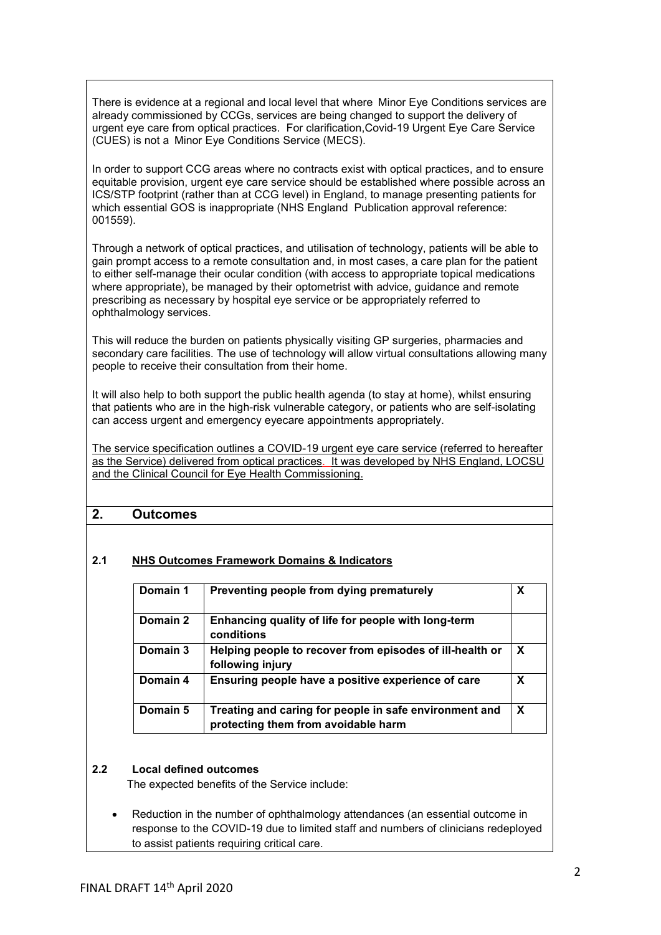There is evidence at a regional and local level that where  Minor Eye Conditions services are already commissioned by CCGs, services are being changed to support the delivery of urgent eye care from optical practices. For clarification,Covid-19 Urgent Eye Care Service (CUES) is not a  Minor Eye Conditions Service (MECS).

In order to support CCG areas where no contracts exist with optical practices, and to ensure equitable provision, urgent eye care service should be established where possible across an ICS/STP footprint (rather than at CCG level) in England, to manage presenting patients for which essential GOS is inappropriate (NHS England Publication approval reference: 001559).

Through a network of optical practices, and utilisation of technology, patients will be able to gain prompt access to a remote consultation and, in most cases, a care plan for the patient to either self-manage their ocular condition (with access to appropriate topical medications where appropriate), be managed by their optometrist with advice, guidance and remote prescribing as necessary by hospital eye service or be appropriately referred to ophthalmology services.

This will reduce the burden on patients physically visiting GP surgeries, pharmacies and secondary care facilities. The use of technology will allow virtual consultations allowing many people to receive their consultation from their home.

It will also help to both support the public health agenda (to stay at home), whilst ensuring that patients who are in the high-risk vulnerable category, or patients who are self-isolating can access urgent and emergency eyecare appointments appropriately.

The service specification outlines a COVID-19 urgent eye care service (referred to hereafter as the Service) delivered from optical practices. It was developed by NHS England, LOCSU and the Clinical Council for Eye Health Commissioning.

## **2. Outcomes**

## **2.1 NHS Outcomes Framework Domains & Indicators**

| Domain 1 | Preventing people from dying prematurely                                                      | X |
|----------|-----------------------------------------------------------------------------------------------|---|
| Domain 2 | Enhancing quality of life for people with long-term<br>conditions                             |   |
| Domain 3 | Helping people to recover from episodes of ill-health or<br>following injury                  | X |
| Domain 4 | Ensuring people have a positive experience of care                                            | X |
| Domain 5 | Treating and caring for people in safe environment and<br>protecting them from avoidable harm | X |

#### **2.2 Local defined outcomes**

The expected benefits of the Service include: 

• Reduction in the number of ophthalmology attendances (an essential outcome in response to the COVID-19 due to limited staff and numbers of clinicians redeployed to assist patients requiring critical care.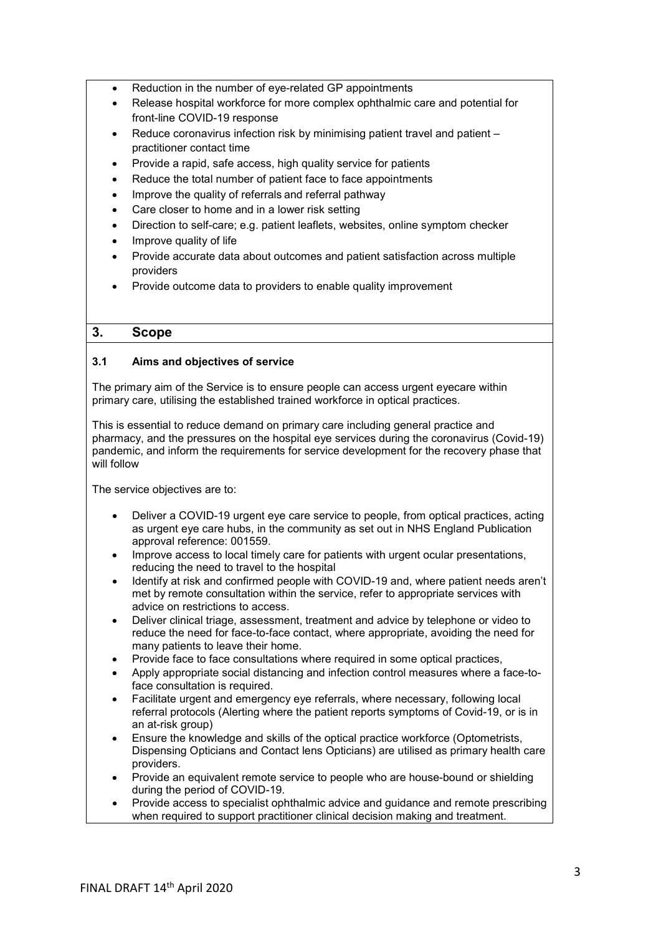- Reduction in the number of eye-related GP appointments
- Release hospital workforce for more complex ophthalmic care and potential for front-line COVID-19 response
- Reduce coronavirus infection risk by minimising patient travel and patient practitioner contact time
- Provide a rapid, safe access, high quality service for patients
- Reduce the total number of patient face to face appointments
- Improve the quality of referrals and referral pathway
- Care closer to home and in a lower risk setting
- Direction to self-care; e.g. patient leaflets, websites, online symptom checker
- Improve quality of life
- Provide accurate data about outcomes and patient satisfaction across multiple providers
- Provide outcome data to providers to enable quality improvement

# **3. Scope**

## **3.1 Aims and objectives of service**

The primary aim of the Service is to ensure people can access urgent eyecare within primary care, utilising the established trained workforce in optical practices.

This is essential to reduce demand on primary care including general practice and pharmacy, and the pressures on the hospital eye services during the coronavirus (Covid-19) pandemic, and inform the requirements for service development for the recovery phase that will follow

The service objectives are to:

- Deliver a COVID-19 urgent eye care service to people, from optical practices, acting as urgent eye care hubs, in the community as set out in NHS England Publication approval reference: 001559.
- Improve access to local timely care for patients with urgent ocular presentations, reducing the need to travel to the hospital
- Identify at risk and confirmed people with COVID-19 and, where patient needs aren't met by remote consultation within the service, refer to appropriate services with advice on restrictions to access.
- Deliver clinical triage, assessment, treatment and advice by telephone or video to reduce the need for face-to-face contact, where appropriate, avoiding the need for many patients to leave their home.
- Provide face to face consultations where required in some optical practices,
- Apply appropriate social distancing and infection control measures where a face-toface consultation is required.
- Facilitate urgent and emergency eye referrals, where necessary, following local referral protocols (Alerting where the patient reports symptoms of Covid-19, or is in an at-risk group)
- Ensure the knowledge and skills of the optical practice workforce (Optometrists, Dispensing Opticians and Contact lens Opticians) are utilised as primary health care providers.
- Provide an equivalent remote service to people who are house-bound or shielding during the period of COVID-19.
- Provide access to specialist ophthalmic advice and guidance and remote prescribing when required to support practitioner clinical decision making and treatment.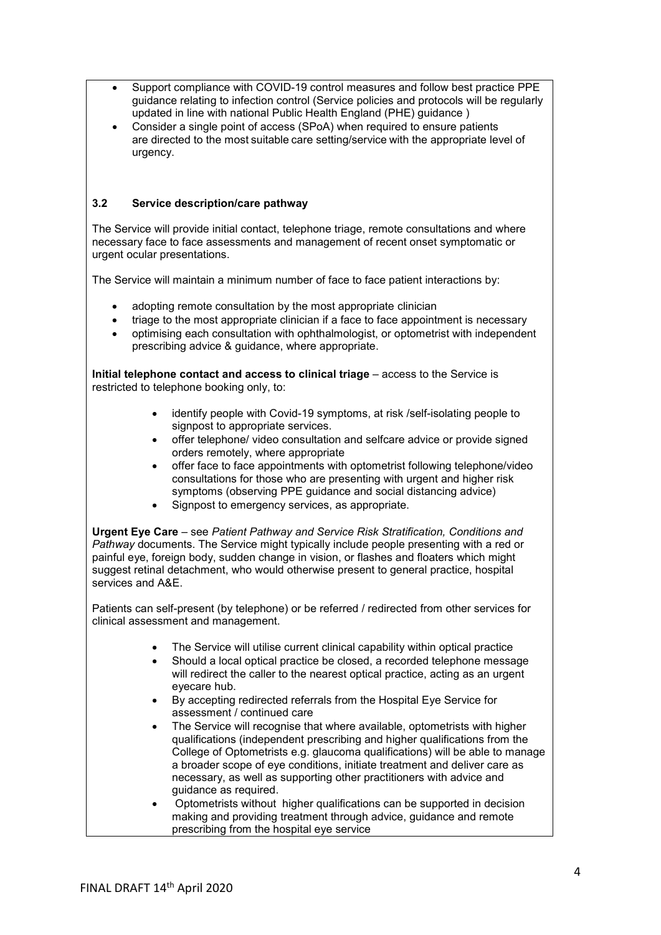- Support compliance with COVID-19 control measures and follow best practice PPE guidance relating to infection control (Service policies and protocols will be regularly updated in line with national Public Health England (PHE) guidance )
- Consider a single point of access (SPoA) when required to ensure patients are directed to the most suitable care setting/service with the appropriate level of urgency.

## **3.2 Service description/care pathway**

The Service will provide initial contact, telephone triage, remote consultations and where necessary face to face assessments and management of recent onset symptomatic or urgent ocular presentations.

The Service will maintain a minimum number of face to face patient interactions by:

- adopting remote consultation by the most appropriate clinician
- triage to the most appropriate clinician if a face to face appointment is necessary
- optimising each consultation with ophthalmologist, or optometrist with independent prescribing advice & guidance, where appropriate.

**Initial telephone contact and access to clinical triage** – access to the Service is restricted to telephone booking only, to:

- identify people with Covid-19 symptoms, at risk /self-isolating people to signpost to appropriate services.
- offer telephone/ video consultation and selfcare advice or provide signed orders remotely, where appropriate
- offer face to face appointments with optometrist following telephone/video consultations for those who are presenting with urgent and higher risk symptoms (observing PPE guidance and social distancing advice)
- Signpost to emergency services, as appropriate.

**Urgent Eye Care** – see *Patient Pathway and Service Risk Stratification, Conditions and Pathway* documents. The Service might typically include people presenting with a red or painful eye, foreign body, sudden change in vision, or flashes and floaters which might suggest retinal detachment, who would otherwise present to general practice, hospital services and A&E.

Patients can self-present (by telephone) or be referred / redirected from other services for clinical assessment and management.

- The Service will utilise current clinical capability within optical practice
- Should a local optical practice be closed, a recorded telephone message will redirect the caller to the nearest optical practice, acting as an urgent eyecare hub.
- By accepting redirected referrals from the Hospital Eye Service for assessment / continued care
- The Service will recognise that where available, optometrists with higher qualifications (independent prescribing and higher qualifications from the College of Optometrists e.g. glaucoma qualifications) will be able to manage a broader scope of eye conditions, initiate treatment and deliver care as necessary, as well as supporting other practitioners with advice and guidance as required.
- Optometrists without higher qualifications can be supported in decision making and providing treatment through advice, guidance and remote prescribing from the hospital eye service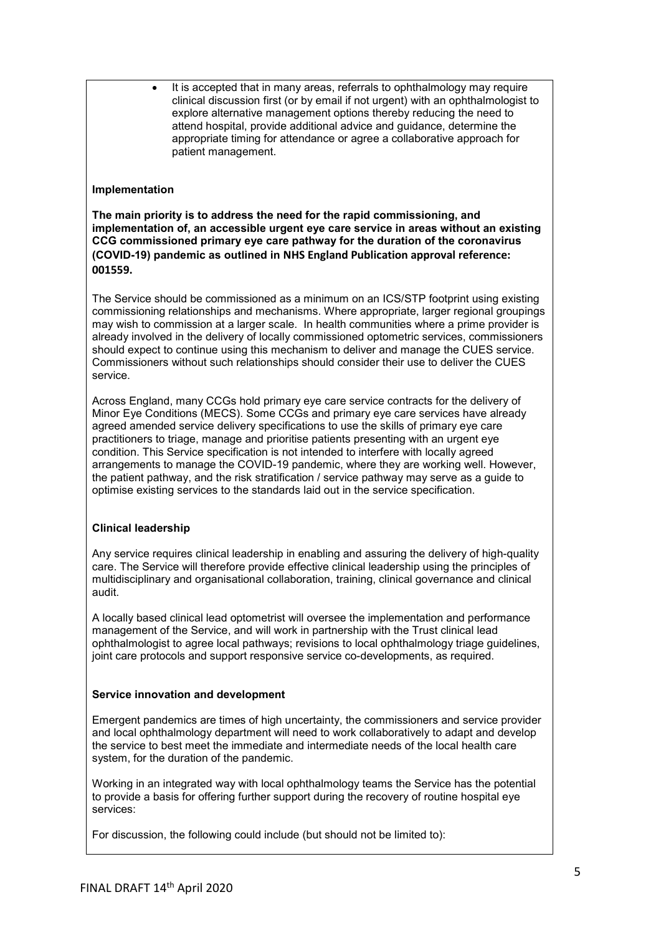• It is accepted that in many areas, referrals to ophthalmology may require clinical discussion first (or by email if not urgent) with an ophthalmologist to explore alternative management options thereby reducing the need to attend hospital, provide additional advice and guidance, determine the appropriate timing for attendance or agree a collaborative approach for patient management.

#### **Implementation**

**The main priority is to address the need for the rapid commissioning, and implementation of, an accessible urgent eye care service in areas without an existing CCG commissioned primary eye care pathway for the duration of the coronavirus (COVID-19) pandemic as outlined in NHS England Publication approval reference: 001559.** 

The Service should be commissioned as a minimum on an ICS/STP footprint using existing commissioning relationships and mechanisms. Where appropriate, larger regional groupings may wish to commission at a larger scale. In health communities where a prime provider is already involved in the delivery of locally commissioned optometric services, commissioners should expect to continue using this mechanism to deliver and manage the CUES service. Commissioners without such relationships should consider their use to deliver the CUES service.

Across England, many CCGs hold primary eye care service contracts for the delivery of Minor Eye Conditions (MECS). Some CCGs and primary eye care services have already agreed amended service delivery specifications to use the skills of primary eye care practitioners to triage, manage and prioritise patients presenting with an urgent eye condition. This Service specification is not intended to interfere with locally agreed arrangements to manage the COVID-19 pandemic, where they are working well. However, the patient pathway, and the risk stratification / service pathway may serve as a guide to optimise existing services to the standards laid out in the service specification.

### **Clinical leadership**

Any service requires clinical leadership in enabling and assuring the delivery of high-quality care. The Service will therefore provide effective clinical leadership using the principles of multidisciplinary and organisational collaboration, training, clinical governance and clinical audit.

A locally based clinical lead optometrist will oversee the implementation and performance management of the Service, and will work in partnership with the Trust clinical lead ophthalmologist to agree local pathways; revisions to local ophthalmology triage guidelines, joint care protocols and support responsive service co-developments, as required.

### **Service innovation and development**

Emergent pandemics are times of high uncertainty, the commissioners and service provider and local ophthalmology department will need to work collaboratively to adapt and develop the service to best meet the immediate and intermediate needs of the local health care system, for the duration of the pandemic.

Working in an integrated way with local ophthalmology teams the Service has the potential to provide a basis for offering further support during the recovery of routine hospital eye services:

For discussion, the following could include (but should not be limited to):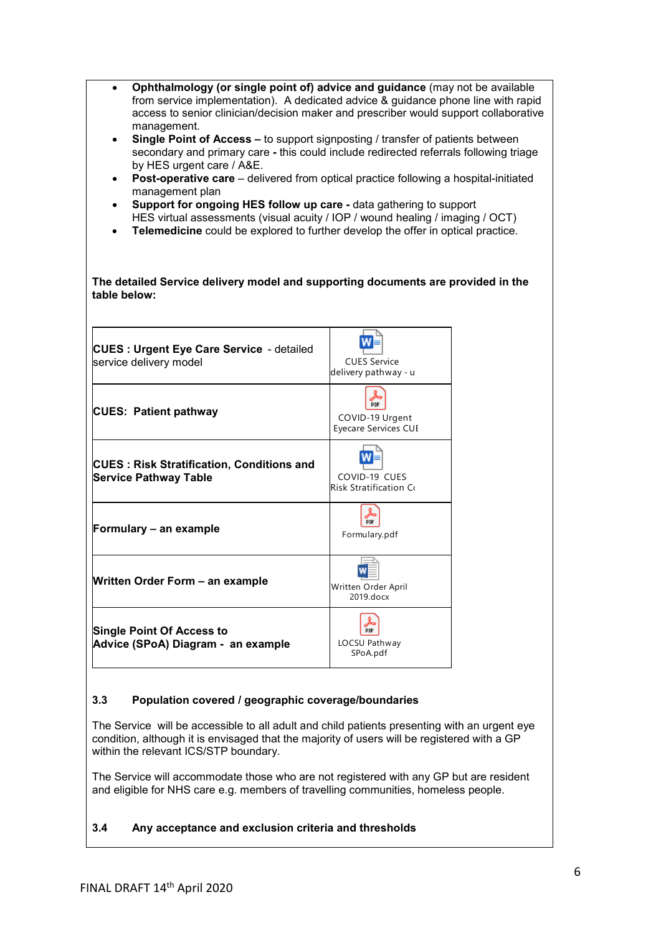| Ophthalmology (or single point of) advice and guidance (may not be available<br>$\bullet$<br>from service implementation). A dedicated advice & guidance phone line with rapid<br>access to senior clinician/decision maker and prescriber would support collaborative<br>management.<br><b>Single Point of Access – to support signposting / transfer of patients between</b><br>$\bullet$<br>secondary and primary care - this could include redirected referrals following triage<br>by HES urgent care / A&E.<br>Post-operative care - delivered from optical practice following a hospital-initiated<br>$\bullet$<br>management plan<br>Support for ongoing HES follow up care - data gathering to support<br>$\bullet$<br>HES virtual assessments (visual acuity / IOP / wound healing / imaging / OCT)<br>Telemedicine could be explored to further develop the offer in optical practice.<br>$\bullet$<br>The detailed Service delivery model and supporting documents are provided in the<br>table below: |                                                       |  |
|--------------------------------------------------------------------------------------------------------------------------------------------------------------------------------------------------------------------------------------------------------------------------------------------------------------------------------------------------------------------------------------------------------------------------------------------------------------------------------------------------------------------------------------------------------------------------------------------------------------------------------------------------------------------------------------------------------------------------------------------------------------------------------------------------------------------------------------------------------------------------------------------------------------------------------------------------------------------------------------------------------------------|-------------------------------------------------------|--|
| <b>CUES: Urgent Eye Care Service - detailed</b><br>service delivery model                                                                                                                                                                                                                                                                                                                                                                                                                                                                                                                                                                                                                                                                                                                                                                                                                                                                                                                                          | <b>CUES Service</b><br>delivery pathway - u           |  |
| <b>CUES: Patient pathway</b>                                                                                                                                                                                                                                                                                                                                                                                                                                                                                                                                                                                                                                                                                                                                                                                                                                                                                                                                                                                       | <b>PDF</b><br>COVID-19 Urgent<br>Eyecare Services CUE |  |
| <b>CUES: Risk Stratification, Conditions and</b><br><b>Service Pathway Table</b>                                                                                                                                                                                                                                                                                                                                                                                                                                                                                                                                                                                                                                                                                                                                                                                                                                                                                                                                   | COVID-19 CUES<br><b>Risk Stratification Co</b>        |  |
| Formulary - an example                                                                                                                                                                                                                                                                                                                                                                                                                                                                                                                                                                                                                                                                                                                                                                                                                                                                                                                                                                                             | PDF<br>Formulary.pdf                                  |  |
| Written Order Form - an example                                                                                                                                                                                                                                                                                                                                                                                                                                                                                                                                                                                                                                                                                                                                                                                                                                                                                                                                                                                    | W<br>$-$<br>Written Order April<br>2019.docx          |  |
| <b>Single Point Of Access to</b><br>Advice (SPoA) Diagram - an example                                                                                                                                                                                                                                                                                                                                                                                                                                                                                                                                                                                                                                                                                                                                                                                                                                                                                                                                             | PDF<br>LOCSU Pathway<br>SPoA.pdf                      |  |

# **3.3 Population covered / geographic coverage/boundaries**

The Service will be accessible to all adult and child patients presenting with an urgent eye condition, although it is envisaged that the majority of users will be registered with a GP within the relevant ICS/STP boundary.

The Service will accommodate those who are not registered with any GP but are resident and eligible for NHS care e.g. members of travelling communities, homeless people.

## **3.4 Any acceptance and exclusion criteria and thresholds**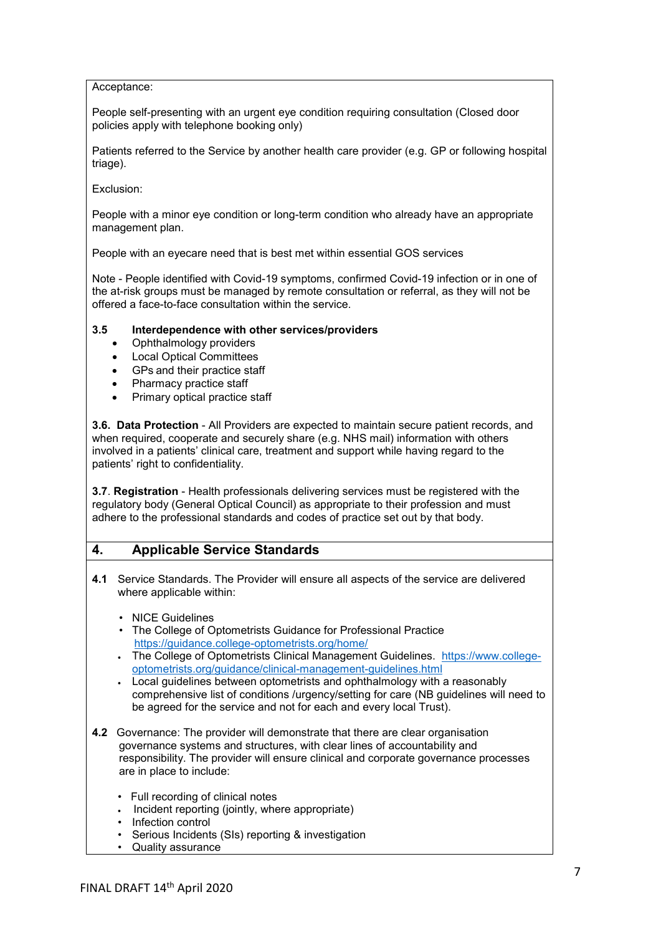Acceptance:

People self-presenting with an urgent eye condition requiring consultation (Closed door policies apply with telephone booking only)

Patients referred to the Service by another health care provider (e.g. GP or following hospital triage).

Exclusion:

People with a minor eye condition or long-term condition who already have an appropriate management plan.

People with an eyecare need that is best met within essential GOS services

Note - People identified with Covid-19 symptoms, confirmed Covid-19 infection or in one of the at-risk groups must be managed by remote consultation or referral, as they will not be offered a face-to-face consultation within the service.

### **3.5 Interdependence with other services/providers**

- Ophthalmology providers
- Local Optical Committees
- GPs and their practice staff
- Pharmacy practice staff
- Primary optical practice staff

**3.6. Data Protection** - All Providers are expected to maintain secure patient records, and when required, cooperate and securely share (e.g. NHS mail) information with others involved in a patients' clinical care, treatment and support while having regard to the patients' right to confidentiality.

**3.7**. **Registration** - Health professionals delivering services must be registered with the regulatory body (General Optical Council) as appropriate to their profession and must adhere to the professional standards and codes of practice set out by that body.

## **4. Applicable Service Standards**

- **4.1** Service Standards. The Provider will ensure all aspects of the service are delivered where applicable within:
	- NICE Guidelines
	- The College of Optometrists Guidance for Professional Practice <https://guidance.college-optometrists.org/home/>
	- The College of Optometrists Clinical Management Guidelines. [https://www.college](https://www.college-optometrists.org/guidance/clinical-management-guidelines.html)[optometrists.org/guidance/clinical-management-guidelines.html](https://www.college-optometrists.org/guidance/clinical-management-guidelines.html)
	- Local guidelines between optometrists and ophthalmology with a reasonably comprehensive list of conditions /urgency/setting for care (NB guidelines will need to be agreed for the service and not for each and every local Trust).
- **4.2** Governance: The provider will demonstrate that there are clear organisation governance systems and structures, with clear lines of accountability and responsibility. The provider will ensure clinical and corporate governance processes are in place to include:
	- Full recording of clinical notes
	- Incident reporting (jointly, where appropriate)
	- Infection control
	- Serious Incidents (SIs) reporting & investigation
	- Quality assurance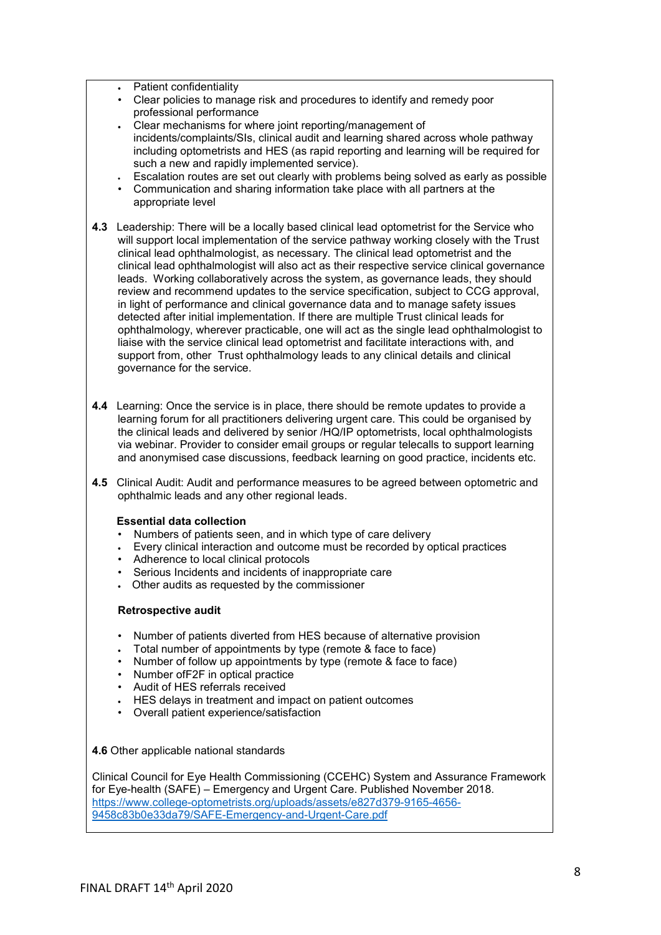- Patient confidentiality
- Clear policies to manage risk and procedures to identify and remedy poor professional performance
- Clear mechanisms for where joint reporting/management of incidents/complaints/SIs, clinical audit and learning shared across whole pathway including optometrists and HES (as rapid reporting and learning will be required for such a new and rapidly implemented service).
- Escalation routes are set out clearly with problems being solved as early as possible
- Communication and sharing information take place with all partners at the appropriate level
- **4.3** Leadership: There will be a locally based clinical lead optometrist for the Service who will support local implementation of the service pathway working closely with the Trust clinical lead ophthalmologist, as necessary. The clinical lead optometrist and the clinical lead ophthalmologist will also act as their respective service clinical governance leads. Working collaboratively across the system, as governance leads, they should review and recommend updates to the service specification, subject to CCG approval, in light of performance and clinical governance data and to manage safety issues detected after initial implementation. If there are multiple Trust clinical leads for ophthalmology, wherever practicable, one will act as the single lead ophthalmologist to liaise with the service clinical lead optometrist and facilitate interactions with, and support from, other Trust ophthalmology leads to any clinical details and clinical governance for the service.
- **4.4** Learning: Once the service is in place, there should be remote updates to provide a learning forum for all practitioners delivering urgent care. This could be organised by the clinical leads and delivered by senior /HQ/IP optometrists, local ophthalmologists via webinar. Provider to consider email groups or regular telecalls to support learning and anonymised case discussions, feedback learning on good practice, incidents etc.
- **4.5** Clinical Audit: Audit and performance measures to be agreed between optometric and ophthalmic leads and any other regional leads.

#### **Essential data collection**

- Numbers of patients seen, and in which type of care delivery
- Every clinical interaction and outcome must be recorded by optical practices
- Adherence to local clinical protocols
- Serious Incidents and incidents of inappropriate care
- Other audits as requested by the commissioner

#### **Retrospective audit**

- Number of patients diverted from HES because of alternative provision
- Total number of appointments by type (remote & face to face)
- Number of follow up appointments by type (remote & face to face)
- Number ofF2F in optical practice
- Audit of HES referrals received
- HES delays in treatment and impact on patient outcomes
- Overall patient experience/satisfaction

**4.6** Other applicable national standards

Clinical Council for Eye Health Commissioning (CCEHC) System and Assurance Framework for Eye-health (SAFE) – Emergency and Urgent Care. Published November 2018. [https://www.college-optometrists.org/uploads/assets/e827d379-9165-4656-](https://www.college-optometrists.org/uploads/assets/e827d379-9165-4656-9458c83b0e33da79/SAFE-Emergency-and-Urgent-Care.pdf) [9458c83b0e33da79/SAFE-Emergency-and-Urgent-Care.pdf](https://www.college-optometrists.org/uploads/assets/e827d379-9165-4656-9458c83b0e33da79/SAFE-Emergency-and-Urgent-Care.pdf)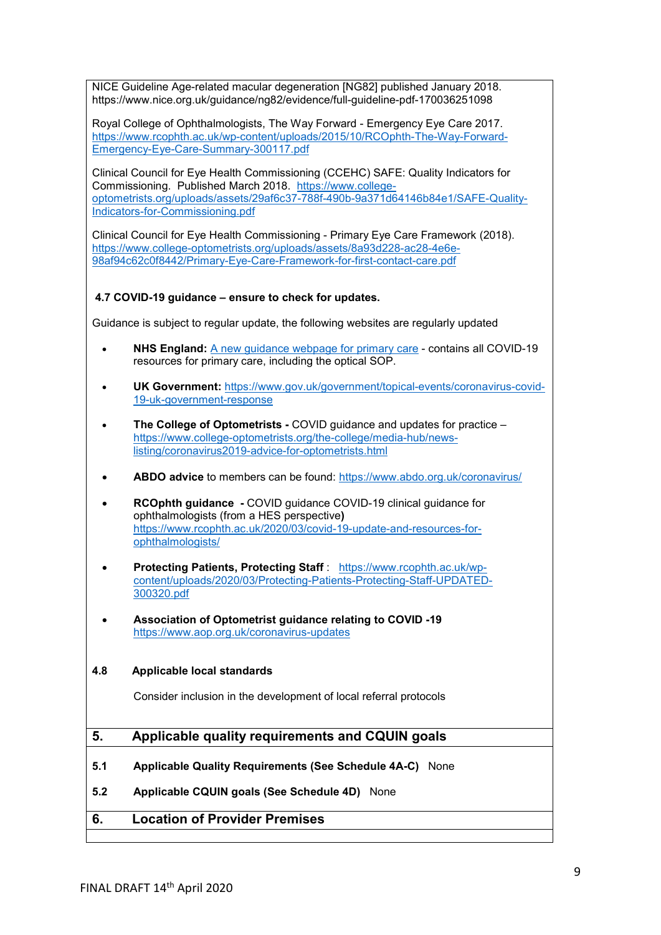NICE Guideline Age-related macular degeneration [NG82] published January 2018. https://www.nice.org.uk/guidance/ng82/evidence/full-guideline-pdf-170036251098

Royal College of Ophthalmologists, The Way Forward - Emergency Eye Care 2017. [https://www.rcophth.ac.uk/wp-content/uploads/2015/10/RCOphth-The-Way-Forward-](https://www.rcophth.ac.uk/wp-content/uploads/2015/10/RCOphth-The-Way-Forward-Emergency-Eye-Care-Summary-300117.pdf)[Emergency-Eye-Care-Summary-300117.pdf](https://www.rcophth.ac.uk/wp-content/uploads/2015/10/RCOphth-The-Way-Forward-Emergency-Eye-Care-Summary-300117.pdf)

Clinical Council for Eye Health Commissioning (CCEHC) SAFE: Quality Indicators for Commissioning. Published March 2018. [https://www.college](https://www.college-optometrists.org/uploads/assets/29af6c37-788f-490b-9a371d64146b84e1/SAFE-Quality-Indicators-for-Commissioning.pdf)[optometrists.org/uploads/assets/29af6c37-788f-490b-9a371d64146b84e1/SAFE-Quality-](https://www.college-optometrists.org/uploads/assets/29af6c37-788f-490b-9a371d64146b84e1/SAFE-Quality-Indicators-for-Commissioning.pdf)[Indicators-for-Commissioning.pdf](https://www.college-optometrists.org/uploads/assets/29af6c37-788f-490b-9a371d64146b84e1/SAFE-Quality-Indicators-for-Commissioning.pdf)

Clinical Council for Eye Health Commissioning - Primary Eye Care Framework (2018). [https://www.college-optometrists.org/uploads/assets/8a93d228-ac28-4e6e-](https://www.college-optometrists.org/uploads/assets/8a93d228-ac28-4e6e-98af94c62c0f8442/Primary-Eye-Care-Framework-for-first-contact-care.pdf)[98af94c62c0f8442/Primary-Eye-Care-Framework-for-first-contact-care.pdf](https://www.college-optometrists.org/uploads/assets/8a93d228-ac28-4e6e-98af94c62c0f8442/Primary-Eye-Care-Framework-for-first-contact-care.pdf)

## **4.7 COVID-19 guidance – ensure to check for updates.**

Guidance is subject to regular update, the following websites are regularly updated

- **NHS England:** A new guidance [webpage for primary care](https://www.england.nhs.uk/coronavirus/primary-care/) contains all COVID-19 resources for primary care, including the optical SOP.
- **UK Government:** [https://www.gov.uk/government/topical-events/coronavirus-covid-](https://www.gov.uk/government/topical-events/coronavirus-covid-19-uk-government-response)[19-uk-government-response](https://www.gov.uk/government/topical-events/coronavirus-covid-19-uk-government-response)
- **The College of Optometrists -** COVID guidance and updates for practice [https://www.college-optometrists.org/the-college/media-hub/news](https://www.college-optometrists.org/the-college/media-hub/news-listing/coronavirus2019-advice-for-optometrists.html)[listing/coronavirus2019-advice-for-optometrists.html](https://www.college-optometrists.org/the-college/media-hub/news-listing/coronavirus2019-advice-for-optometrists.html)
- **ABDO advice** to members can be found: <https://www.abdo.org.uk/coronavirus/>
- **RCOphth guidance -** COVID guidance COVID-19 clinical guidance for ophthalmologists (from a HES perspective**)**  [https://www.rcophth.ac.uk/2020/03/covid-19-update-and-resources-for](https://www.rcophth.ac.uk/2020/03/covid-19-update-and-resources-for-ophthalmologists/)[ophthalmologists/](https://www.rcophth.ac.uk/2020/03/covid-19-update-and-resources-for-ophthalmologists/)
- **Protecting Patients, Protecting Staff** : [https://www.rcophth.ac.uk/wp](https://www.rcophth.ac.uk/wp-content/uploads/2020/03/Protecting-Patients-Protecting-Staff-UPDATED-300320.pdf)[content/uploads/2020/03/Protecting-Patients-Protecting-Staff-UPDATED-](https://www.rcophth.ac.uk/wp-content/uploads/2020/03/Protecting-Patients-Protecting-Staff-UPDATED-300320.pdf)[300320.pdf](https://www.rcophth.ac.uk/wp-content/uploads/2020/03/Protecting-Patients-Protecting-Staff-UPDATED-300320.pdf)
- **Association of Optometrist guidance relating to COVID -19** <https://www.aop.org.uk/coronavirus-updates>

### **4.8 Applicable local standards**

Consider inclusion in the development of local referral protocols

## **5. Applicable quality requirements and CQUIN goals**

- **5.1 Applicable Quality Requirements (See Schedule 4A-C)** None
- **5.2 Applicable CQUIN goals (See Schedule 4D)** None

# **6. Location of Provider Premises**